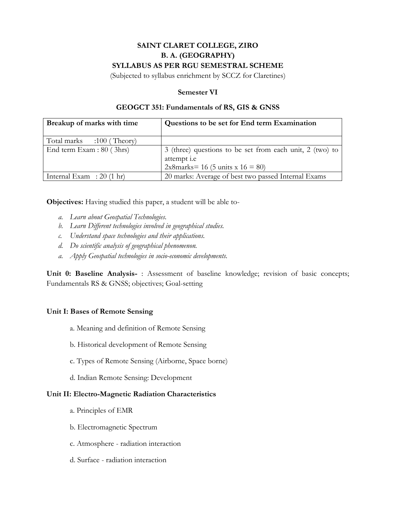# **SAINT CLARET COLLEGE, ZIRO B. A. (GEOGRAPHY) SYLLABUS AS PER RGU SEMESTRAL SCHEME**

(Subjected to syllabus enrichment by SCCZ for Claretines)

## **Semester VI**

### **GEOGCT 351: Fundamentals of RS, GIS & GNSS**

| Breakup of marks with time         | Questions to be set for End term Examination             |
|------------------------------------|----------------------------------------------------------|
|                                    |                                                          |
| Total marks :100 (Theory)          |                                                          |
| End term Exam : 80 (3hrs)          | 3 (three) questions to be set from each unit, 2 (two) to |
|                                    | attempt <i>i.e</i>                                       |
|                                    | 2x8marks= 16 (5 units x $16 = 80$ )                      |
| Internal Exam : $20(1 \text{ hr})$ | 20 marks: Average of best two passed Internal Exams      |

**Objectives:** Having studied this paper, a student will be able to-

- *a. Learn about Geospatial Technologies.*
- *b. Learn Different technologies involved in geographical studies.*
- *c. Understand space technologies and their applications.*
- *d. Do scientific analysis of geographical phenomenon.*
- *a. Apply Geospatial technologies in socio-economic developments.*

**Unit 0: Baseline Analysis-** : Assessment of baseline knowledge; revision of basic concepts; Fundamentals RS & GNSS; objectives; Goal-setting

## **Unit I: Bases of Remote Sensing**

- a. Meaning and definition of Remote Sensing
- b. Historical development of Remote Sensing
- c. Types of Remote Sensing (Airborne, Space borne)
- d. Indian Remote Sensing: Development

#### **Unit II: Electro-Magnetic Radiation Characteristics**

- a. Principles of EMR
- b. Electromagnetic Spectrum
- c. Atmosphere radiation interaction
- d. Surface radiation interaction